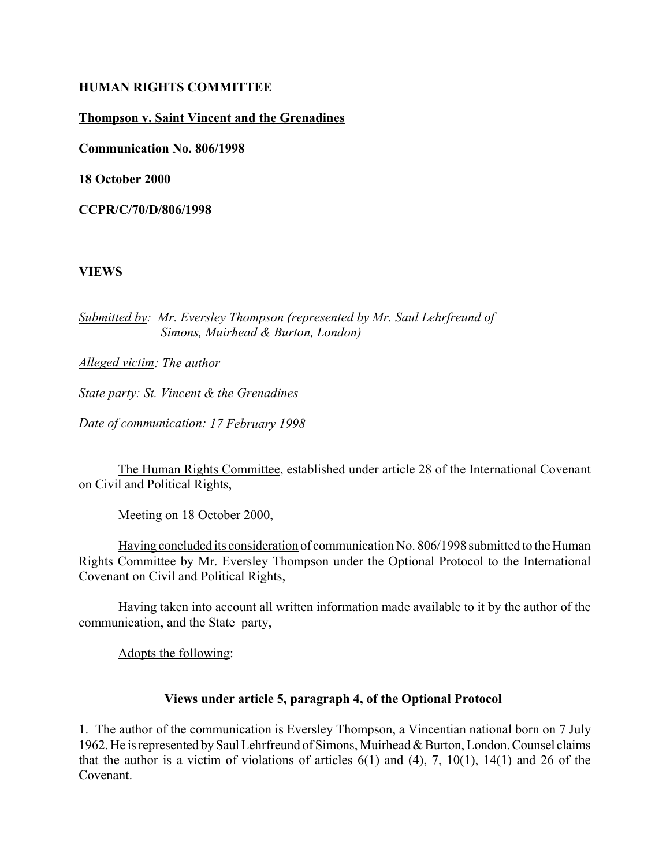### **HUMAN RIGHTS COMMITTEE**

### **Thompson v. Saint Vincent and the Grenadines**

**Communication No. 806/1998**

**18 October 2000**

**CCPR/C/70/D/806/1998** 

#### **VIEWS**

*Submitted by: Mr. Eversley Thompson (represented by Mr. Saul Lehrfreund of Simons, Muirhead & Burton, London)* 

*Alleged victim: The author* 

*State party: St. Vincent & the Grenadines* 

*Date of communication: 17 February 1998* 

The Human Rights Committee, established under article 28 of the International Covenant on Civil and Political Rights,

Meeting on 18 October 2000,

Having concluded its consideration of communication No. 806/1998 submitted to the Human Rights Committee by Mr. Eversley Thompson under the Optional Protocol to the International Covenant on Civil and Political Rights,

Having taken into account all written information made available to it by the author of the communication, and the State party,

Adopts the following:

### **Views under article 5, paragraph 4, of the Optional Protocol**

1. The author of the communication is Eversley Thompson, a Vincentian national born on 7 July 1962. He is represented by Saul Lehrfreund of Simons, Muirhead & Burton, London. Counsel claims that the author is a victim of violations of articles  $6(1)$  and  $(4)$ ,  $7$ ,  $10(1)$ ,  $14(1)$  and 26 of the Covenant.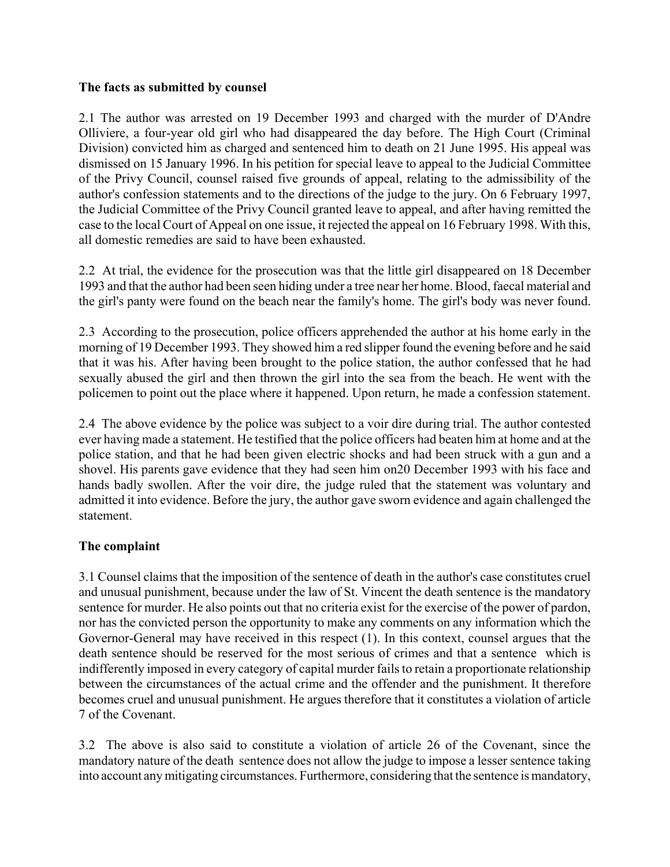### **The facts as submitted by counsel**

2.1 The author was arrested on 19 December 1993 and charged with the murder of D'Andre Olliviere, a four-year old girl who had disappeared the day before. The High Court (Criminal Division) convicted him as charged and sentenced him to death on 21 June 1995. His appeal was dismissed on 15 January 1996. In his petition for special leave to appeal to the Judicial Committee of the Privy Council, counsel raised five grounds of appeal, relating to the admissibility of the author's confession statements and to the directions of the judge to the jury. On 6 February 1997, the Judicial Committee of the Privy Council granted leave to appeal, and after having remitted the case to the local Court of Appeal on one issue, it rejected the appeal on 16 February 1998. With this, all domestic remedies are said to have been exhausted.

2.2 At trial, the evidence for the prosecution was that the little girl disappeared on 18 December 1993 and that the author had been seen hiding under a tree near her home. Blood, faecal material and the girl's panty were found on the beach near the family's home. The girl's body was never found.

2.3 According to the prosecution, police officers apprehended the author at his home early in the morning of 19 December 1993. They showed him a red slipper found the evening before and he said that it was his. After having been brought to the police station, the author confessed that he had sexually abused the girl and then thrown the girl into the sea from the beach. He went with the policemen to point out the place where it happened. Upon return, he made a confession statement.

2.4 The above evidence by the police was subject to a voir dire during trial. The author contested ever having made a statement. He testified that the police officers had beaten him at home and at the police station, and that he had been given electric shocks and had been struck with a gun and a shovel. His parents gave evidence that they had seen him on20 December 1993 with his face and hands badly swollen. After the voir dire, the judge ruled that the statement was voluntary and admitted it into evidence. Before the jury, the author gave sworn evidence and again challenged the statement.

## **The complaint**

3.1 Counsel claims that the imposition of the sentence of death in the author's case constitutes cruel and unusual punishment, because under the law of St. Vincent the death sentence is the mandatory sentence for murder. He also points out that no criteria exist for the exercise of the power of pardon, nor has the convicted person the opportunity to make any comments on any information which the Governor-General may have received in this respect (1). In this context, counsel argues that the death sentence should be reserved for the most serious of crimes and that a sentence which is indifferently imposed in every category of capital murder fails to retain a proportionate relationship between the circumstances of the actual crime and the offender and the punishment. It therefore becomes cruel and unusual punishment. He argues therefore that it constitutes a violation of article 7 of the Covenant.

3.2 The above is also said to constitute a violation of article 26 of the Covenant, since the mandatory nature of the death sentence does not allow the judge to impose a lesser sentence taking into account any mitigating circumstances. Furthermore, considering that the sentence is mandatory,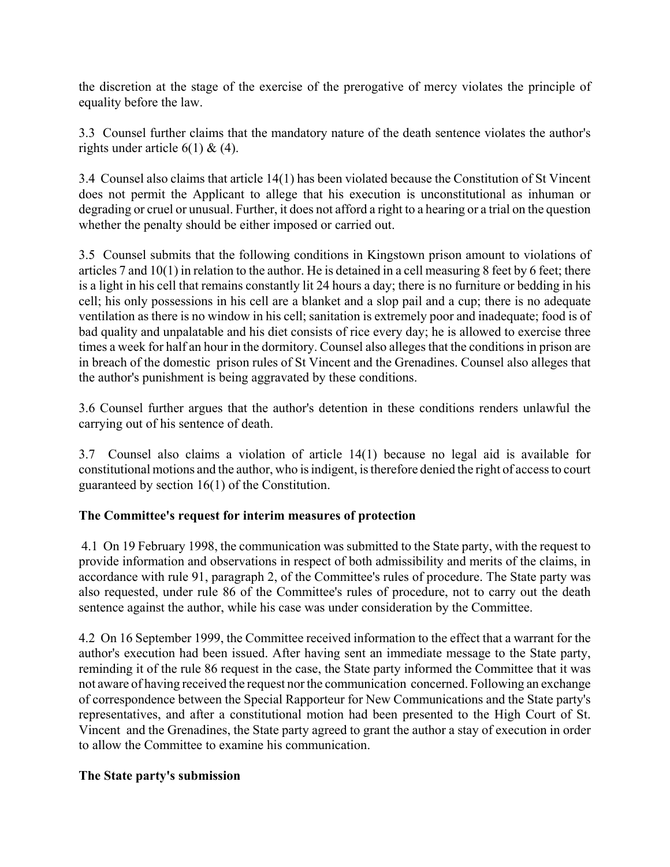the discretion at the stage of the exercise of the prerogative of mercy violates the principle of equality before the law.

3.3 Counsel further claims that the mandatory nature of the death sentence violates the author's rights under article  $6(1)$  & (4).

3.4 Counsel also claims that article 14(1) has been violated because the Constitution of St Vincent does not permit the Applicant to allege that his execution is unconstitutional as inhuman or degrading or cruel or unusual. Further, it does not afford a right to a hearing or a trial on the question whether the penalty should be either imposed or carried out.

3.5 Counsel submits that the following conditions in Kingstown prison amount to violations of articles 7 and 10(1) in relation to the author. He is detained in a cell measuring 8 feet by 6 feet; there is a light in his cell that remains constantly lit 24 hours a day; there is no furniture or bedding in his cell; his only possessions in his cell are a blanket and a slop pail and a cup; there is no adequate ventilation as there is no window in his cell; sanitation is extremely poor and inadequate; food is of bad quality and unpalatable and his diet consists of rice every day; he is allowed to exercise three times a week for half an hour in the dormitory. Counsel also alleges that the conditions in prison are in breach of the domestic prison rules of St Vincent and the Grenadines. Counsel also alleges that the author's punishment is being aggravated by these conditions.

3.6 Counsel further argues that the author's detention in these conditions renders unlawful the carrying out of his sentence of death.

3.7 Counsel also claims a violation of article 14(1) because no legal aid is available for constitutional motions and the author, who is indigent, is therefore denied the right of access to court guaranteed by section 16(1) of the Constitution.

# **The Committee's request for interim measures of protection**

 4.1 On 19 February 1998, the communication was submitted to the State party, with the request to provide information and observations in respect of both admissibility and merits of the claims, in accordance with rule 91, paragraph 2, of the Committee's rules of procedure. The State party was also requested, under rule 86 of the Committee's rules of procedure, not to carry out the death sentence against the author, while his case was under consideration by the Committee.

4.2 On 16 September 1999, the Committee received information to the effect that a warrant for the author's execution had been issued. After having sent an immediate message to the State party, reminding it of the rule 86 request in the case, the State party informed the Committee that it was not aware of having received the request nor the communication concerned. Following an exchange of correspondence between the Special Rapporteur for New Communications and the State party's representatives, and after a constitutional motion had been presented to the High Court of St. Vincent and the Grenadines, the State party agreed to grant the author a stay of execution in order to allow the Committee to examine his communication.

## **The State party's submission**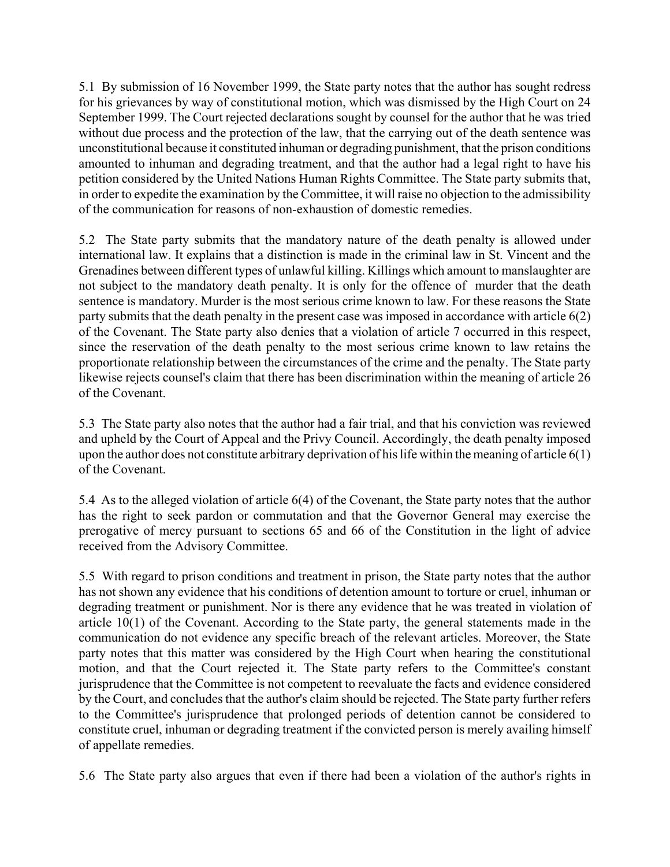5.1 By submission of 16 November 1999, the State party notes that the author has sought redress for his grievances by way of constitutional motion, which was dismissed by the High Court on 24 September 1999. The Court rejected declarations sought by counsel for the author that he was tried without due process and the protection of the law, that the carrying out of the death sentence was unconstitutional because it constituted inhuman or degrading punishment, that the prison conditions amounted to inhuman and degrading treatment, and that the author had a legal right to have his petition considered by the United Nations Human Rights Committee. The State party submits that, in order to expedite the examination by the Committee, it will raise no objection to the admissibility of the communication for reasons of non-exhaustion of domestic remedies.

5.2 The State party submits that the mandatory nature of the death penalty is allowed under international law. It explains that a distinction is made in the criminal law in St. Vincent and the Grenadines between different types of unlawful killing. Killings which amount to manslaughter are not subject to the mandatory death penalty. It is only for the offence of murder that the death sentence is mandatory. Murder is the most serious crime known to law. For these reasons the State party submits that the death penalty in the present case was imposed in accordance with article 6(2) of the Covenant. The State party also denies that a violation of article 7 occurred in this respect, since the reservation of the death penalty to the most serious crime known to law retains the proportionate relationship between the circumstances of the crime and the penalty. The State party likewise rejects counsel's claim that there has been discrimination within the meaning of article 26 of the Covenant.

5.3 The State party also notes that the author had a fair trial, and that his conviction was reviewed and upheld by the Court of Appeal and the Privy Council. Accordingly, the death penalty imposed upon the author does not constitute arbitrary deprivation of his life within the meaning of article 6(1) of the Covenant.

5.4 As to the alleged violation of article 6(4) of the Covenant, the State party notes that the author has the right to seek pardon or commutation and that the Governor General may exercise the prerogative of mercy pursuant to sections 65 and 66 of the Constitution in the light of advice received from the Advisory Committee.

5.5 With regard to prison conditions and treatment in prison, the State party notes that the author has not shown any evidence that his conditions of detention amount to torture or cruel, inhuman or degrading treatment or punishment. Nor is there any evidence that he was treated in violation of article 10(1) of the Covenant. According to the State party, the general statements made in the communication do not evidence any specific breach of the relevant articles. Moreover, the State party notes that this matter was considered by the High Court when hearing the constitutional motion, and that the Court rejected it. The State party refers to the Committee's constant jurisprudence that the Committee is not competent to reevaluate the facts and evidence considered by the Court, and concludes that the author's claim should be rejected. The State party further refers to the Committee's jurisprudence that prolonged periods of detention cannot be considered to constitute cruel, inhuman or degrading treatment if the convicted person is merely availing himself of appellate remedies.

5.6 The State party also argues that even if there had been a violation of the author's rights in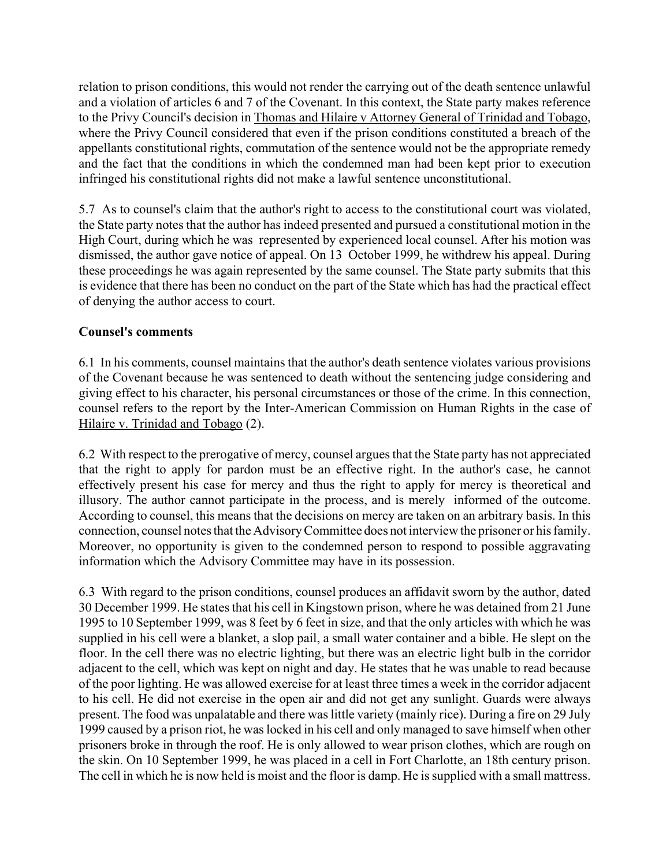relation to prison conditions, this would not render the carrying out of the death sentence unlawful and a violation of articles 6 and 7 of the Covenant. In this context, the State party makes reference to the Privy Council's decision in Thomas and Hilaire v Attorney General of Trinidad and Tobago, where the Privy Council considered that even if the prison conditions constituted a breach of the appellants constitutional rights, commutation of the sentence would not be the appropriate remedy and the fact that the conditions in which the condemned man had been kept prior to execution infringed his constitutional rights did not make a lawful sentence unconstitutional.

5.7 As to counsel's claim that the author's right to access to the constitutional court was violated, the State party notes that the author has indeed presented and pursued a constitutional motion in the High Court, during which he was represented by experienced local counsel. After his motion was dismissed, the author gave notice of appeal. On 13 October 1999, he withdrew his appeal. During these proceedings he was again represented by the same counsel. The State party submits that this is evidence that there has been no conduct on the part of the State which has had the practical effect of denying the author access to court.

## **Counsel's comments**

6.1 In his comments, counsel maintains that the author's death sentence violates various provisions of the Covenant because he was sentenced to death without the sentencing judge considering and giving effect to his character, his personal circumstances or those of the crime. In this connection, counsel refers to the report by the Inter-American Commission on Human Rights in the case of Hilaire v. Trinidad and Tobago (2).

6.2 With respect to the prerogative of mercy, counsel argues that the State party has not appreciated that the right to apply for pardon must be an effective right. In the author's case, he cannot effectively present his case for mercy and thus the right to apply for mercy is theoretical and illusory. The author cannot participate in the process, and is merely informed of the outcome. According to counsel, this means that the decisions on mercy are taken on an arbitrary basis. In this connection, counsel notes that the Advisory Committee does not interview the prisoner or his family. Moreover, no opportunity is given to the condemned person to respond to possible aggravating information which the Advisory Committee may have in its possession.

6.3 With regard to the prison conditions, counsel produces an affidavit sworn by the author, dated 30 December 1999. He states that his cell in Kingstown prison, where he was detained from 21 June 1995 to 10 September 1999, was 8 feet by 6 feet in size, and that the only articles with which he was supplied in his cell were a blanket, a slop pail, a small water container and a bible. He slept on the floor. In the cell there was no electric lighting, but there was an electric light bulb in the corridor adjacent to the cell, which was kept on night and day. He states that he was unable to read because of the poor lighting. He was allowed exercise for at least three times a week in the corridor adjacent to his cell. He did not exercise in the open air and did not get any sunlight. Guards were always present. The food was unpalatable and there was little variety (mainly rice). During a fire on 29 July 1999 caused by a prison riot, he was locked in his cell and only managed to save himself when other prisoners broke in through the roof. He is only allowed to wear prison clothes, which are rough on the skin. On 10 September 1999, he was placed in a cell in Fort Charlotte, an 18th century prison. The cell in which he is now held is moist and the floor is damp. He is supplied with a small mattress.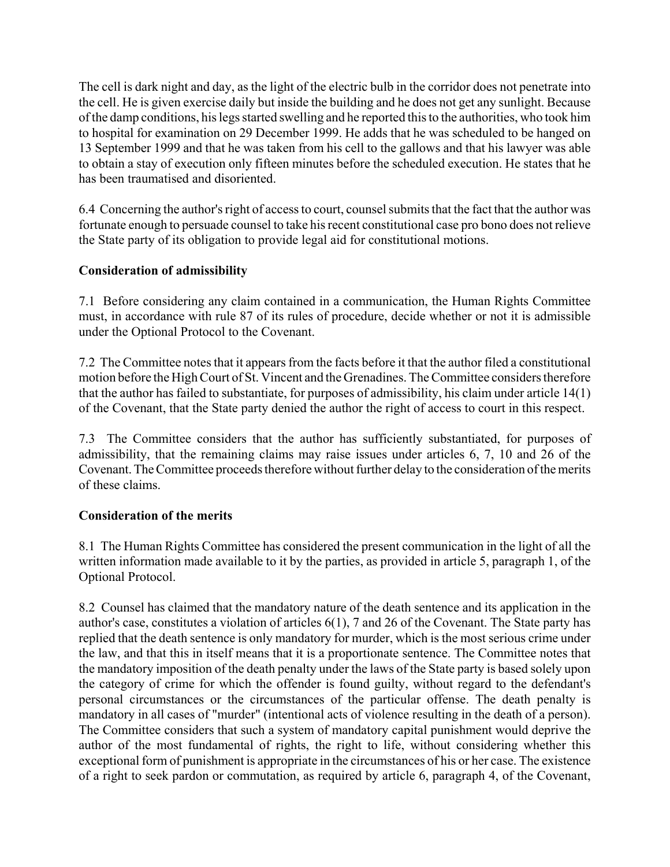The cell is dark night and day, as the light of the electric bulb in the corridor does not penetrate into the cell. He is given exercise daily but inside the building and he does not get any sunlight. Because of the damp conditions, his legs started swelling and he reported this to the authorities, who took him to hospital for examination on 29 December 1999. He adds that he was scheduled to be hanged on 13 September 1999 and that he was taken from his cell to the gallows and that his lawyer was able to obtain a stay of execution only fifteen minutes before the scheduled execution. He states that he has been traumatised and disoriented.

6.4 Concerning the author's right of access to court, counsel submits that the fact that the author was fortunate enough to persuade counsel to take his recent constitutional case pro bono does not relieve the State party of its obligation to provide legal aid for constitutional motions.

# **Consideration of admissibility**

7.1 Before considering any claim contained in a communication, the Human Rights Committee must, in accordance with rule 87 of its rules of procedure, decide whether or not it is admissible under the Optional Protocol to the Covenant.

7.2 The Committee notes that it appears from the facts before it that the author filed a constitutional motion before the High Court of St. Vincent and the Grenadines. The Committee considers therefore that the author has failed to substantiate, for purposes of admissibility, his claim under article 14(1) of the Covenant, that the State party denied the author the right of access to court in this respect.

7.3 The Committee considers that the author has sufficiently substantiated, for purposes of admissibility, that the remaining claims may raise issues under articles 6, 7, 10 and 26 of the Covenant. The Committee proceeds therefore without further delay to the consideration of the merits of these claims.

# **Consideration of the merits**

8.1 The Human Rights Committee has considered the present communication in the light of all the written information made available to it by the parties, as provided in article 5, paragraph 1, of the Optional Protocol.

8.2 Counsel has claimed that the mandatory nature of the death sentence and its application in the author's case, constitutes a violation of articles 6(1), 7 and 26 of the Covenant. The State party has replied that the death sentence is only mandatory for murder, which is the most serious crime under the law, and that this in itself means that it is a proportionate sentence. The Committee notes that the mandatory imposition of the death penalty under the laws of the State party is based solely upon the category of crime for which the offender is found guilty, without regard to the defendant's personal circumstances or the circumstances of the particular offense. The death penalty is mandatory in all cases of "murder" (intentional acts of violence resulting in the death of a person). The Committee considers that such a system of mandatory capital punishment would deprive the author of the most fundamental of rights, the right to life, without considering whether this exceptional form of punishment is appropriate in the circumstances of his or her case. The existence of a right to seek pardon or commutation, as required by article 6, paragraph 4, of the Covenant,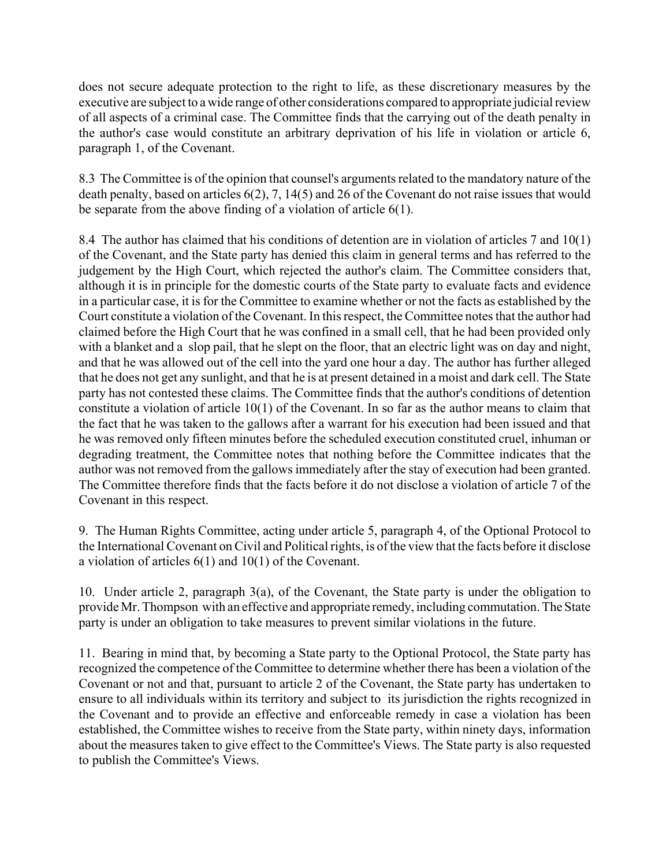does not secure adequate protection to the right to life, as these discretionary measures by the executive are subject to a wide range of other considerations compared to appropriate judicial review of all aspects of a criminal case. The Committee finds that the carrying out of the death penalty in the author's case would constitute an arbitrary deprivation of his life in violation or article 6, paragraph 1, of the Covenant.

8.3 The Committee is of the opinion that counsel's arguments related to the mandatory nature of the death penalty, based on articles 6(2), 7, 14(5) and 26 of the Covenant do not raise issues that would be separate from the above finding of a violation of article 6(1).

8.4 The author has claimed that his conditions of detention are in violation of articles 7 and 10(1) of the Covenant, and the State party has denied this claim in general terms and has referred to the judgement by the High Court, which rejected the author's claim. The Committee considers that, although it is in principle for the domestic courts of the State party to evaluate facts and evidence in a particular case, it is for the Committee to examine whether or not the facts as established by the Court constitute a violation of the Covenant. In this respect, the Committee notes that the author had claimed before the High Court that he was confined in a small cell, that he had been provided only with a blanket and a slop pail, that he slept on the floor, that an electric light was on day and night, and that he was allowed out of the cell into the yard one hour a day. The author has further alleged that he does not get any sunlight, and that he is at present detained in a moist and dark cell. The State party has not contested these claims. The Committee finds that the author's conditions of detention constitute a violation of article 10(1) of the Covenant. In so far as the author means to claim that the fact that he was taken to the gallows after a warrant for his execution had been issued and that he was removed only fifteen minutes before the scheduled execution constituted cruel, inhuman or degrading treatment, the Committee notes that nothing before the Committee indicates that the author was not removed from the gallows immediately after the stay of execution had been granted. The Committee therefore finds that the facts before it do not disclose a violation of article 7 of the Covenant in this respect.

9. The Human Rights Committee, acting under article 5, paragraph 4, of the Optional Protocol to the International Covenant on Civil and Political rights, is of the view that the facts before it disclose a violation of articles 6(1) and 10(1) of the Covenant.

10. Under article 2, paragraph 3(a), of the Covenant, the State party is under the obligation to provide Mr. Thompson with an effective and appropriate remedy, including commutation. The State party is under an obligation to take measures to prevent similar violations in the future.

11. Bearing in mind that, by becoming a State party to the Optional Protocol, the State party has recognized the competence of the Committee to determine whether there has been a violation of the Covenant or not and that, pursuant to article 2 of the Covenant, the State party has undertaken to ensure to all individuals within its territory and subject to its jurisdiction the rights recognized in the Covenant and to provide an effective and enforceable remedy in case a violation has been established, the Committee wishes to receive from the State party, within ninety days, information about the measures taken to give effect to the Committee's Views. The State party is also requested to publish the Committee's Views.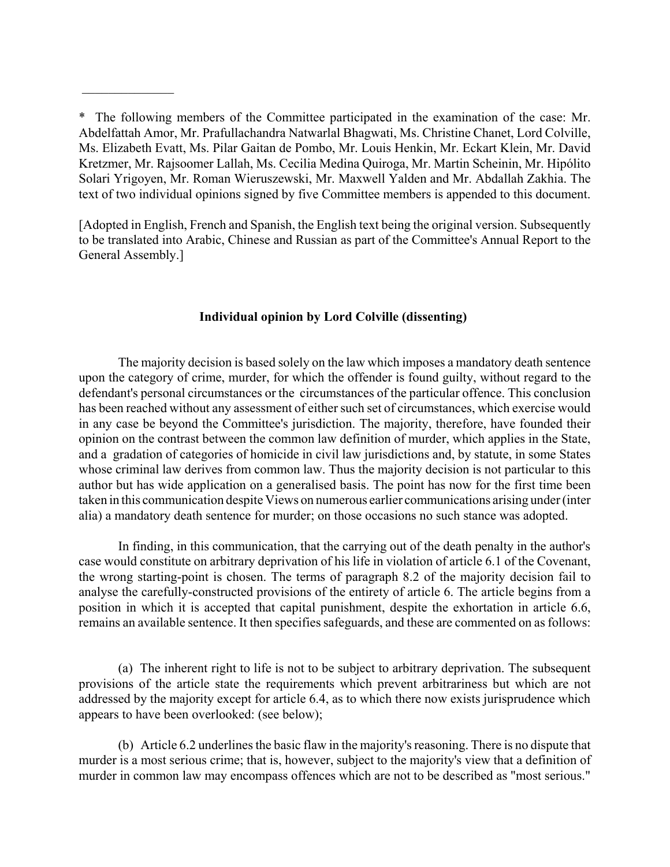$\frac{1}{2}$ 

[Adopted in English, French and Spanish, the English text being the original version. Subsequently to be translated into Arabic, Chinese and Russian as part of the Committee's Annual Report to the General Assembly.]

#### **Individual opinion by Lord Colville (dissenting)**

The majority decision is based solely on the law which imposes a mandatory death sentence upon the category of crime, murder, for which the offender is found guilty, without regard to the defendant's personal circumstances or the circumstances of the particular offence. This conclusion has been reached without any assessment of either such set of circumstances, which exercise would in any case be beyond the Committee's jurisdiction. The majority, therefore, have founded their opinion on the contrast between the common law definition of murder, which applies in the State, and a gradation of categories of homicide in civil law jurisdictions and, by statute, in some States whose criminal law derives from common law. Thus the majority decision is not particular to this author but has wide application on a generalised basis. The point has now for the first time been taken in this communication despite Views on numerous earlier communications arising under (inter alia) a mandatory death sentence for murder; on those occasions no such stance was adopted.

In finding, in this communication, that the carrying out of the death penalty in the author's case would constitute on arbitrary deprivation of his life in violation of article 6.1 of the Covenant, the wrong starting-point is chosen. The terms of paragraph 8.2 of the majority decision fail to analyse the carefully-constructed provisions of the entirety of article 6. The article begins from a position in which it is accepted that capital punishment, despite the exhortation in article 6.6, remains an available sentence. It then specifies safeguards, and these are commented on as follows:

(a) The inherent right to life is not to be subject to arbitrary deprivation. The subsequent provisions of the article state the requirements which prevent arbitrariness but which are not addressed by the majority except for article 6.4, as to which there now exists jurisprudence which appears to have been overlooked: (see below);

(b) Article 6.2 underlines the basic flaw in the majority's reasoning. There is no dispute that murder is a most serious crime; that is, however, subject to the majority's view that a definition of murder in common law may encompass offences which are not to be described as "most serious."

<sup>\*</sup> The following members of the Committee participated in the examination of the case: Mr. Abdelfattah Amor, Mr. Prafullachandra Natwarlal Bhagwati, Ms. Christine Chanet, Lord Colville, Ms. Elizabeth Evatt, Ms. Pilar Gaitan de Pombo, Mr. Louis Henkin, Mr. Eckart Klein, Mr. David Kretzmer, Mr. Rajsoomer Lallah, Ms. Cecilia Medina Quiroga, Mr. Martin Scheinin, Mr. Hipólito Solari Yrigoyen, Mr. Roman Wieruszewski, Mr. Maxwell Yalden and Mr. Abdallah Zakhia. The text of two individual opinions signed by five Committee members is appended to this document.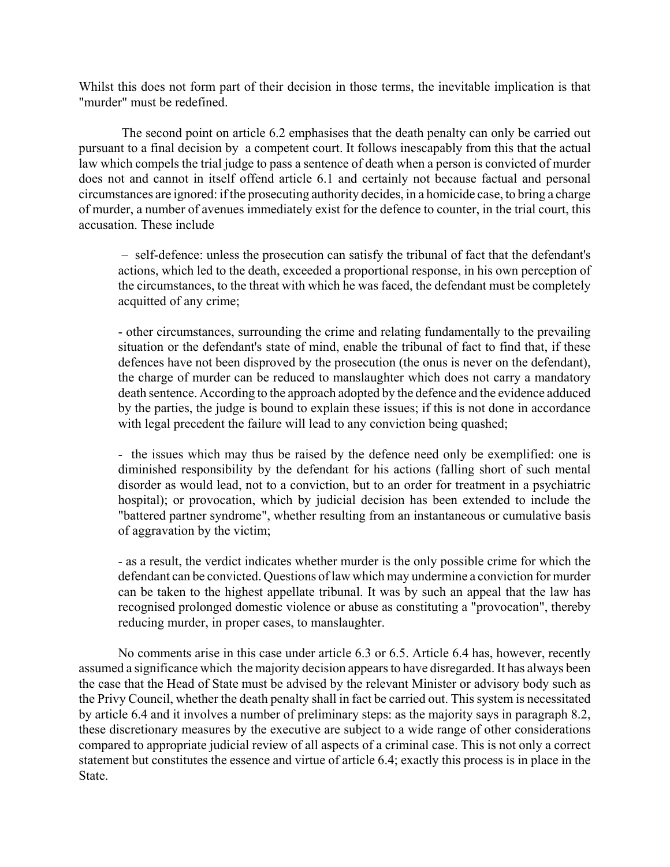Whilst this does not form part of their decision in those terms, the inevitable implication is that "murder" must be redefined.

 The second point on article 6.2 emphasises that the death penalty can only be carried out pursuant to a final decision by a competent court. It follows inescapably from this that the actual law which compels the trial judge to pass a sentence of death when a person is convicted of murder does not and cannot in itself offend article 6.1 and certainly not because factual and personal circumstances are ignored: if the prosecuting authority decides, in a homicide case, to bring a charge of murder, a number of avenues immediately exist for the defence to counter, in the trial court, this accusation. These include

– self-defence: unless the prosecution can satisfy the tribunal of fact that the defendant's actions, which led to the death, exceeded a proportional response, in his own perception of the circumstances, to the threat with which he was faced, the defendant must be completely acquitted of any crime;

- other circumstances, surrounding the crime and relating fundamentally to the prevailing situation or the defendant's state of mind, enable the tribunal of fact to find that, if these defences have not been disproved by the prosecution (the onus is never on the defendant), the charge of murder can be reduced to manslaughter which does not carry a mandatory death sentence. According to the approach adopted by the defence and the evidence adduced by the parties, the judge is bound to explain these issues; if this is not done in accordance with legal precedent the failure will lead to any conviction being quashed;

- the issues which may thus be raised by the defence need only be exemplified: one is diminished responsibility by the defendant for his actions (falling short of such mental disorder as would lead, not to a conviction, but to an order for treatment in a psychiatric hospital); or provocation, which by judicial decision has been extended to include the "battered partner syndrome", whether resulting from an instantaneous or cumulative basis of aggravation by the victim;

- as a result, the verdict indicates whether murder is the only possible crime for which the defendant can be convicted. Questions of law which may undermine a conviction for murder can be taken to the highest appellate tribunal. It was by such an appeal that the law has recognised prolonged domestic violence or abuse as constituting a "provocation", thereby reducing murder, in proper cases, to manslaughter.

No comments arise in this case under article 6.3 or 6.5. Article 6.4 has, however, recently assumed a significance which the majority decision appears to have disregarded. It has always been the case that the Head of State must be advised by the relevant Minister or advisory body such as the Privy Council, whether the death penalty shall in fact be carried out. This system is necessitated by article 6.4 and it involves a number of preliminary steps: as the majority says in paragraph 8.2, these discretionary measures by the executive are subject to a wide range of other considerations compared to appropriate judicial review of all aspects of a criminal case. This is not only a correct statement but constitutes the essence and virtue of article 6.4; exactly this process is in place in the State.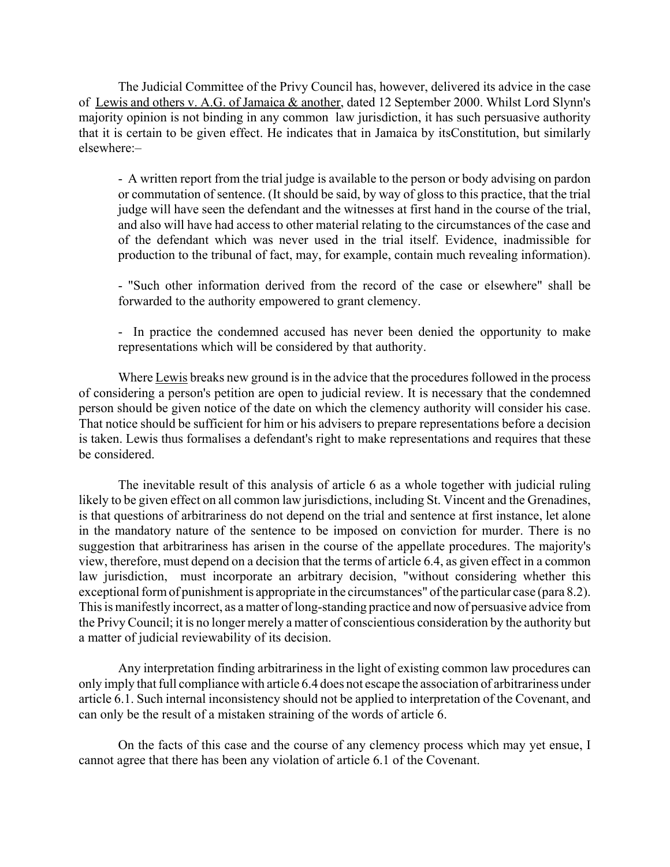The Judicial Committee of the Privy Council has, however, delivered its advice in the case of Lewis and others v. A.G. of Jamaica & another, dated 12 September 2000. Whilst Lord Slynn's majority opinion is not binding in any common law jurisdiction, it has such persuasive authority that it is certain to be given effect. He indicates that in Jamaica by itsConstitution, but similarly elsewhere:-

- A written report from the trial judge is available to the person or body advising on pardon or commutation of sentence. (It should be said, by way of gloss to this practice, that the trial judge will have seen the defendant and the witnesses at first hand in the course of the trial, and also will have had access to other material relating to the circumstances of the case and of the defendant which was never used in the trial itself. Evidence, inadmissible for production to the tribunal of fact, may, for example, contain much revealing information).

- "Such other information derived from the record of the case or elsewhere" shall be forwarded to the authority empowered to grant clemency.

- In practice the condemned accused has never been denied the opportunity to make representations which will be considered by that authority.

Where Lewis breaks new ground is in the advice that the procedures followed in the process of considering a person's petition are open to judicial review. It is necessary that the condemned person should be given notice of the date on which the clemency authority will consider his case. That notice should be sufficient for him or his advisers to prepare representations before a decision is taken. Lewis thus formalises a defendant's right to make representations and requires that these be considered.

The inevitable result of this analysis of article 6 as a whole together with judicial ruling likely to be given effect on all common law jurisdictions, including St. Vincent and the Grenadines, is that questions of arbitrariness do not depend on the trial and sentence at first instance, let alone in the mandatory nature of the sentence to be imposed on conviction for murder. There is no suggestion that arbitrariness has arisen in the course of the appellate procedures. The majority's view, therefore, must depend on a decision that the terms of article 6.4, as given effect in a common law jurisdiction, must incorporate an arbitrary decision, "without considering whether this exceptional form of punishment is appropriate in the circumstances" of the particular case (para 8.2). This is manifestly incorrect, as a matter of long-standing practice and now of persuasive advice from the Privy Council; it is no longer merely a matter of conscientious consideration by the authority but a matter of judicial reviewability of its decision.

Any interpretation finding arbitrariness in the light of existing common law procedures can only imply that full compliance with article 6.4 does not escape the association of arbitrariness under article 6.1. Such internal inconsistency should not be applied to interpretation of the Covenant, and can only be the result of a mistaken straining of the words of article 6.

On the facts of this case and the course of any clemency process which may yet ensue, I cannot agree that there has been any violation of article 6.1 of the Covenant.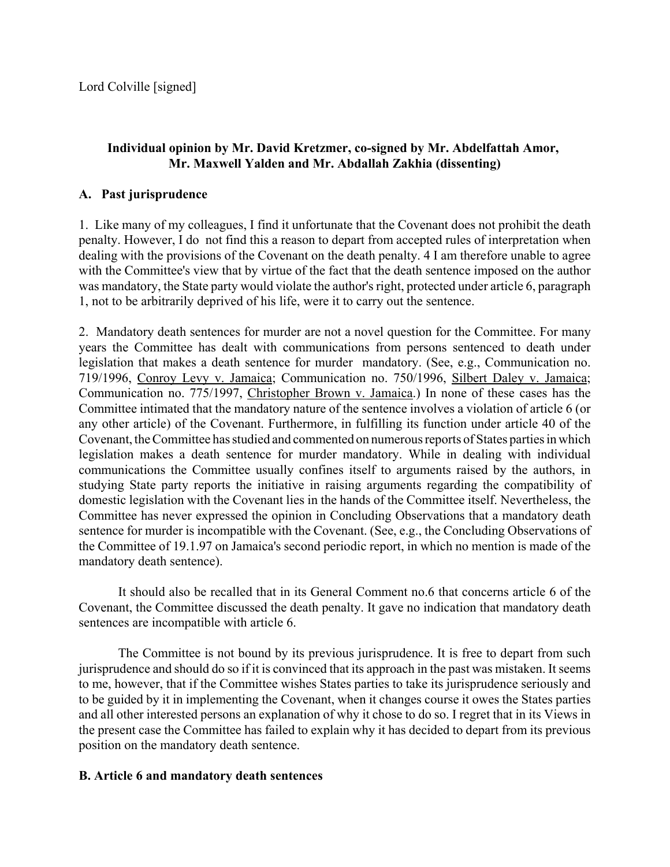## **Individual opinion by Mr. David Kretzmer, co-signed by Mr. Abdelfattah Amor, Mr. Maxwell Yalden and Mr. Abdallah Zakhia (dissenting)**

## **A. Past jurisprudence**

1. Like many of my colleagues, I find it unfortunate that the Covenant does not prohibit the death penalty. However, I do not find this a reason to depart from accepted rules of interpretation when dealing with the provisions of the Covenant on the death penalty. 4 I am therefore unable to agree with the Committee's view that by virtue of the fact that the death sentence imposed on the author was mandatory, the State party would violate the author's right, protected under article 6, paragraph 1, not to be arbitrarily deprived of his life, were it to carry out the sentence.

2. Mandatory death sentences for murder are not a novel question for the Committee. For many years the Committee has dealt with communications from persons sentenced to death under legislation that makes a death sentence for murder mandatory. (See, e.g., Communication no. 719/1996, Conroy Levy v. Jamaica; Communication no. 750/1996, Silbert Daley v. Jamaica; Communication no. 775/1997, Christopher Brown v. Jamaica.) In none of these cases has the Committee intimated that the mandatory nature of the sentence involves a violation of article 6 (or any other article) of the Covenant. Furthermore, in fulfilling its function under article 40 of the Covenant, the Committee has studied and commented on numerous reports of States parties in which legislation makes a death sentence for murder mandatory. While in dealing with individual communications the Committee usually confines itself to arguments raised by the authors, in studying State party reports the initiative in raising arguments regarding the compatibility of domestic legislation with the Covenant lies in the hands of the Committee itself. Nevertheless, the Committee has never expressed the opinion in Concluding Observations that a mandatory death sentence for murder is incompatible with the Covenant. (See, e.g., the Concluding Observations of the Committee of 19.1.97 on Jamaica's second periodic report, in which no mention is made of the mandatory death sentence).

It should also be recalled that in its General Comment no.6 that concerns article 6 of the Covenant, the Committee discussed the death penalty. It gave no indication that mandatory death sentences are incompatible with article 6.

The Committee is not bound by its previous jurisprudence. It is free to depart from such jurisprudence and should do so if it is convinced that its approach in the past was mistaken. It seems to me, however, that if the Committee wishes States parties to take its jurisprudence seriously and to be guided by it in implementing the Covenant, when it changes course it owes the States parties and all other interested persons an explanation of why it chose to do so. I regret that in its Views in the present case the Committee has failed to explain why it has decided to depart from its previous position on the mandatory death sentence.

## **B. Article 6 and mandatory death sentences**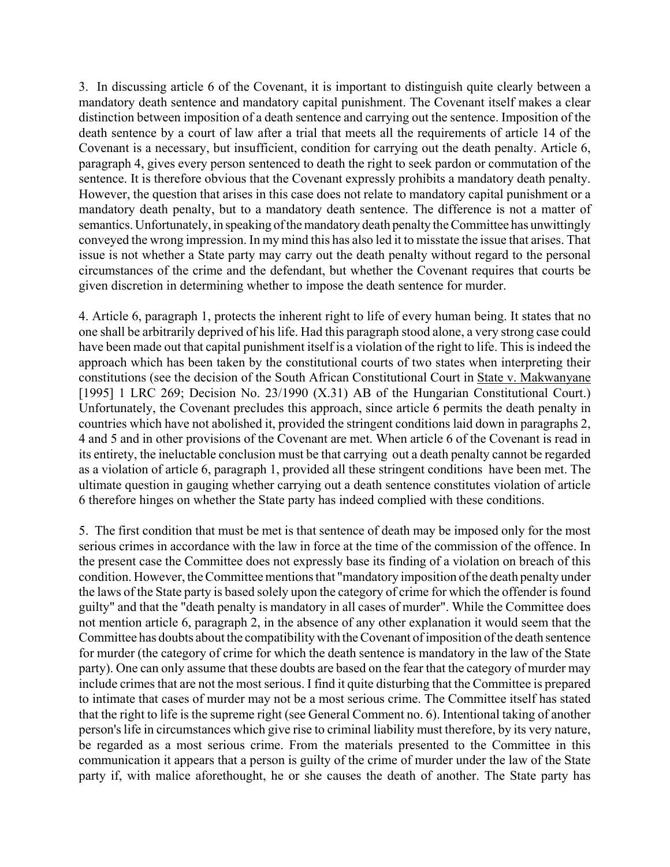3. In discussing article 6 of the Covenant, it is important to distinguish quite clearly between a mandatory death sentence and mandatory capital punishment. The Covenant itself makes a clear distinction between imposition of a death sentence and carrying out the sentence. Imposition of the death sentence by a court of law after a trial that meets all the requirements of article 14 of the Covenant is a necessary, but insufficient, condition for carrying out the death penalty. Article 6, paragraph 4, gives every person sentenced to death the right to seek pardon or commutation of the sentence. It is therefore obvious that the Covenant expressly prohibits a mandatory death penalty. However, the question that arises in this case does not relate to mandatory capital punishment or a mandatory death penalty, but to a mandatory death sentence. The difference is not a matter of semantics. Unfortunately, in speaking of the mandatory death penalty the Committee has unwittingly conveyed the wrong impression. In my mind this has also led it to misstate the issue that arises. That issue is not whether a State party may carry out the death penalty without regard to the personal circumstances of the crime and the defendant, but whether the Covenant requires that courts be given discretion in determining whether to impose the death sentence for murder.

4. Article 6, paragraph 1, protects the inherent right to life of every human being. It states that no one shall be arbitrarily deprived of his life. Had this paragraph stood alone, a very strong case could have been made out that capital punishment itself is a violation of the right to life. This is indeed the approach which has been taken by the constitutional courts of two states when interpreting their constitutions (see the decision of the South African Constitutional Court in State v. Makwanyane [1995] 1 LRC 269; Decision No. 23/1990 (X.31) AB of the Hungarian Constitutional Court.) Unfortunately, the Covenant precludes this approach, since article 6 permits the death penalty in countries which have not abolished it, provided the stringent conditions laid down in paragraphs 2, 4 and 5 and in other provisions of the Covenant are met. When article 6 of the Covenant is read in its entirety, the ineluctable conclusion must be that carrying out a death penalty cannot be regarded as a violation of article 6, paragraph 1, provided all these stringent conditions have been met. The ultimate question in gauging whether carrying out a death sentence constitutes violation of article 6 therefore hinges on whether the State party has indeed complied with these conditions.

5. The first condition that must be met is that sentence of death may be imposed only for the most serious crimes in accordance with the law in force at the time of the commission of the offence. In the present case the Committee does not expressly base its finding of a violation on breach of this condition. However, the Committee mentions that "mandatory imposition of the death penalty under the laws of the State party is based solely upon the category of crime for which the offender is found guilty" and that the "death penalty is mandatory in all cases of murder". While the Committee does not mention article 6, paragraph 2, in the absence of any other explanation it would seem that the Committee has doubts about the compatibility with the Covenant of imposition of the death sentence for murder (the category of crime for which the death sentence is mandatory in the law of the State party). One can only assume that these doubts are based on the fear that the category of murder may include crimes that are not the most serious. I find it quite disturbing that the Committee is prepared to intimate that cases of murder may not be a most serious crime. The Committee itself has stated that the right to life is the supreme right (see General Comment no. 6). Intentional taking of another person's life in circumstances which give rise to criminal liability must therefore, by its very nature, be regarded as a most serious crime. From the materials presented to the Committee in this communication it appears that a person is guilty of the crime of murder under the law of the State party if, with malice aforethought, he or she causes the death of another. The State party has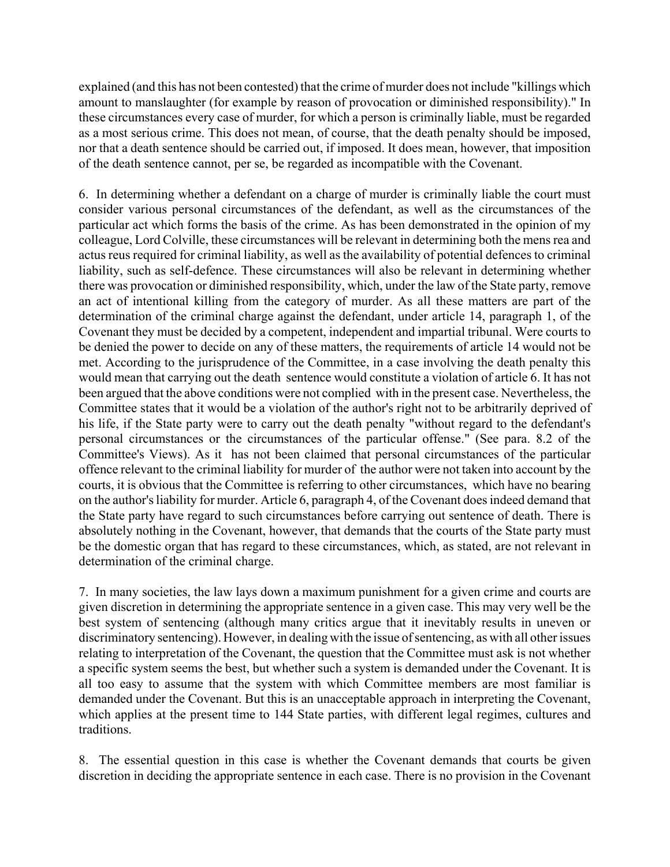explained (and this has not been contested) that the crime of murder does not include "killings which amount to manslaughter (for example by reason of provocation or diminished responsibility)." In these circumstances every case of murder, for which a person is criminally liable, must be regarded as a most serious crime. This does not mean, of course, that the death penalty should be imposed, nor that a death sentence should be carried out, if imposed. It does mean, however, that imposition of the death sentence cannot, per se, be regarded as incompatible with the Covenant.

6. In determining whether a defendant on a charge of murder is criminally liable the court must consider various personal circumstances of the defendant, as well as the circumstances of the particular act which forms the basis of the crime. As has been demonstrated in the opinion of my colleague, Lord Colville, these circumstances will be relevant in determining both the mens rea and actus reus required for criminal liability, as well as the availability of potential defences to criminal liability, such as self-defence. These circumstances will also be relevant in determining whether there was provocation or diminished responsibility, which, under the law of the State party, remove an act of intentional killing from the category of murder. As all these matters are part of the determination of the criminal charge against the defendant, under article 14, paragraph 1, of the Covenant they must be decided by a competent, independent and impartial tribunal. Were courts to be denied the power to decide on any of these matters, the requirements of article 14 would not be met. According to the jurisprudence of the Committee, in a case involving the death penalty this would mean that carrying out the death sentence would constitute a violation of article 6. It has not been argued that the above conditions were not complied with in the present case. Nevertheless, the Committee states that it would be a violation of the author's right not to be arbitrarily deprived of his life, if the State party were to carry out the death penalty "without regard to the defendant's personal circumstances or the circumstances of the particular offense." (See para. 8.2 of the Committee's Views). As it has not been claimed that personal circumstances of the particular offence relevant to the criminal liability for murder of the author were not taken into account by the courts, it is obvious that the Committee is referring to other circumstances, which have no bearing on the author's liability for murder. Article 6, paragraph 4, of the Covenant does indeed demand that the State party have regard to such circumstances before carrying out sentence of death. There is absolutely nothing in the Covenant, however, that demands that the courts of the State party must be the domestic organ that has regard to these circumstances, which, as stated, are not relevant in determination of the criminal charge.

7. In many societies, the law lays down a maximum punishment for a given crime and courts are given discretion in determining the appropriate sentence in a given case. This may very well be the best system of sentencing (although many critics argue that it inevitably results in uneven or discriminatory sentencing). However, in dealing with the issue of sentencing, as with all other issues relating to interpretation of the Covenant, the question that the Committee must ask is not whether a specific system seems the best, but whether such a system is demanded under the Covenant. It is all too easy to assume that the system with which Committee members are most familiar is demanded under the Covenant. But this is an unacceptable approach in interpreting the Covenant, which applies at the present time to 144 State parties, with different legal regimes, cultures and traditions.

8. The essential question in this case is whether the Covenant demands that courts be given discretion in deciding the appropriate sentence in each case. There is no provision in the Covenant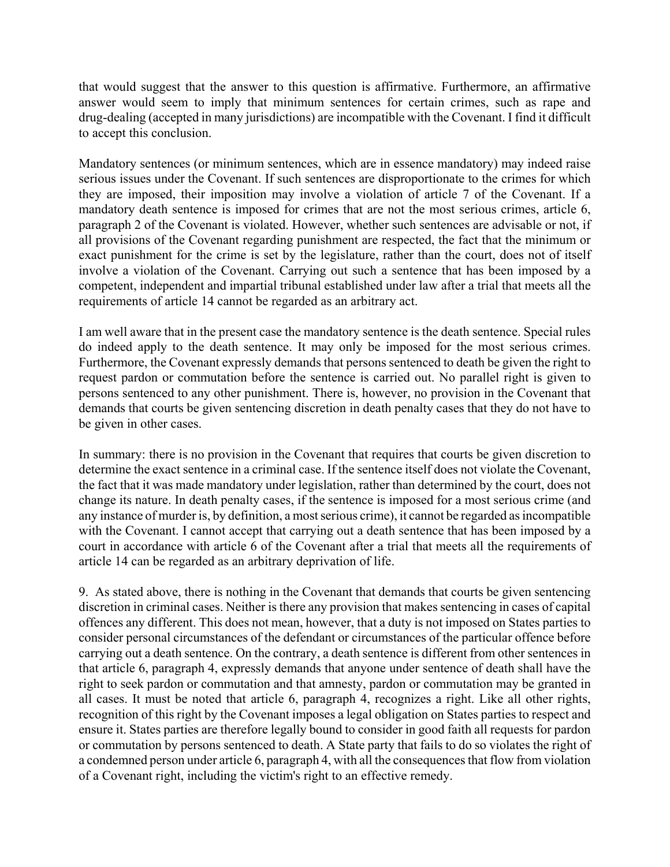that would suggest that the answer to this question is affirmative. Furthermore, an affirmative answer would seem to imply that minimum sentences for certain crimes, such as rape and drug-dealing (accepted in many jurisdictions) are incompatible with the Covenant. I find it difficult to accept this conclusion.

Mandatory sentences (or minimum sentences, which are in essence mandatory) may indeed raise serious issues under the Covenant. If such sentences are disproportionate to the crimes for which they are imposed, their imposition may involve a violation of article 7 of the Covenant. If a mandatory death sentence is imposed for crimes that are not the most serious crimes, article 6, paragraph 2 of the Covenant is violated. However, whether such sentences are advisable or not, if all provisions of the Covenant regarding punishment are respected, the fact that the minimum or exact punishment for the crime is set by the legislature, rather than the court, does not of itself involve a violation of the Covenant. Carrying out such a sentence that has been imposed by a competent, independent and impartial tribunal established under law after a trial that meets all the requirements of article 14 cannot be regarded as an arbitrary act.

I am well aware that in the present case the mandatory sentence is the death sentence. Special rules do indeed apply to the death sentence. It may only be imposed for the most serious crimes. Furthermore, the Covenant expressly demands that persons sentenced to death be given the right to request pardon or commutation before the sentence is carried out. No parallel right is given to persons sentenced to any other punishment. There is, however, no provision in the Covenant that demands that courts be given sentencing discretion in death penalty cases that they do not have to be given in other cases.

In summary: there is no provision in the Covenant that requires that courts be given discretion to determine the exact sentence in a criminal case. If the sentence itself does not violate the Covenant, the fact that it was made mandatory under legislation, rather than determined by the court, does not change its nature. In death penalty cases, if the sentence is imposed for a most serious crime (and any instance of murder is, by definition, a most serious crime), it cannot be regarded as incompatible with the Covenant. I cannot accept that carrying out a death sentence that has been imposed by a court in accordance with article 6 of the Covenant after a trial that meets all the requirements of article 14 can be regarded as an arbitrary deprivation of life.

9. As stated above, there is nothing in the Covenant that demands that courts be given sentencing discretion in criminal cases. Neither is there any provision that makes sentencing in cases of capital offences any different. This does not mean, however, that a duty is not imposed on States parties to consider personal circumstances of the defendant or circumstances of the particular offence before carrying out a death sentence. On the contrary, a death sentence is different from other sentences in that article 6, paragraph 4, expressly demands that anyone under sentence of death shall have the right to seek pardon or commutation and that amnesty, pardon or commutation may be granted in all cases. It must be noted that article 6, paragraph 4, recognizes a right. Like all other rights, recognition of this right by the Covenant imposes a legal obligation on States parties to respect and ensure it. States parties are therefore legally bound to consider in good faith all requests for pardon or commutation by persons sentenced to death. A State party that fails to do so violates the right of a condemned person under article 6, paragraph 4, with all the consequences that flow from violation of a Covenant right, including the victim's right to an effective remedy.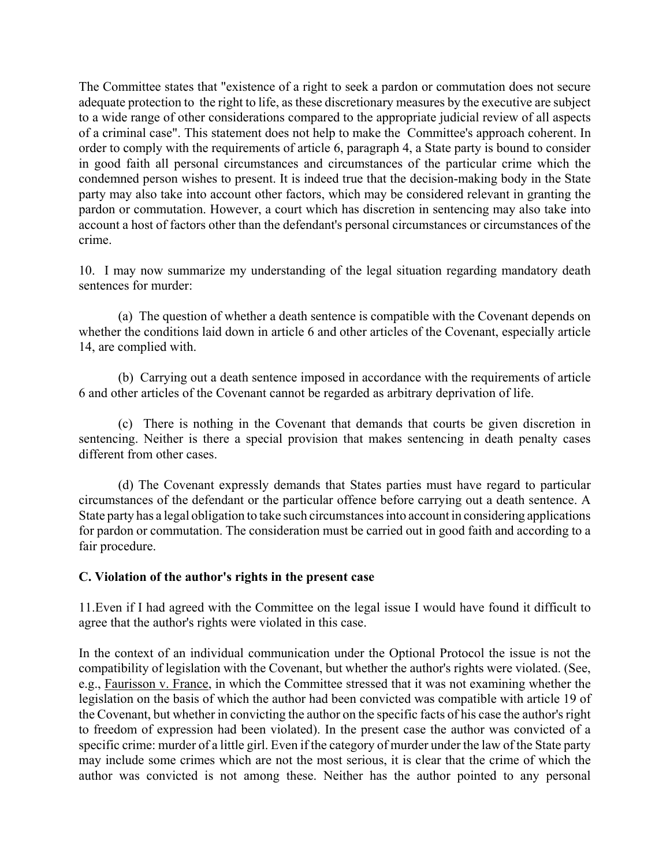The Committee states that "existence of a right to seek a pardon or commutation does not secure adequate protection to the right to life, as these discretionary measures by the executive are subject to a wide range of other considerations compared to the appropriate judicial review of all aspects of a criminal case". This statement does not help to make the Committee's approach coherent. In order to comply with the requirements of article 6, paragraph 4, a State party is bound to consider in good faith all personal circumstances and circumstances of the particular crime which the condemned person wishes to present. It is indeed true that the decision-making body in the State party may also take into account other factors, which may be considered relevant in granting the pardon or commutation. However, a court which has discretion in sentencing may also take into account a host of factors other than the defendant's personal circumstances or circumstances of the crime.

10. I may now summarize my understanding of the legal situation regarding mandatory death sentences for murder:

(a) The question of whether a death sentence is compatible with the Covenant depends on whether the conditions laid down in article 6 and other articles of the Covenant, especially article 14, are complied with.

(b) Carrying out a death sentence imposed in accordance with the requirements of article 6 and other articles of the Covenant cannot be regarded as arbitrary deprivation of life.

(c) There is nothing in the Covenant that demands that courts be given discretion in sentencing. Neither is there a special provision that makes sentencing in death penalty cases different from other cases.

(d) The Covenant expressly demands that States parties must have regard to particular circumstances of the defendant or the particular offence before carrying out a death sentence. A State party has a legal obligation to take such circumstances into account in considering applications for pardon or commutation. The consideration must be carried out in good faith and according to a fair procedure.

### **C. Violation of the author's rights in the present case**

11.Even if I had agreed with the Committee on the legal issue I would have found it difficult to agree that the author's rights were violated in this case.

In the context of an individual communication under the Optional Protocol the issue is not the compatibility of legislation with the Covenant, but whether the author's rights were violated. (See, e.g., Faurisson v. France, in which the Committee stressed that it was not examining whether the legislation on the basis of which the author had been convicted was compatible with article 19 of the Covenant, but whether in convicting the author on the specific facts of his case the author's right to freedom of expression had been violated). In the present case the author was convicted of a specific crime: murder of a little girl. Even if the category of murder under the law of the State party may include some crimes which are not the most serious, it is clear that the crime of which the author was convicted is not among these. Neither has the author pointed to any personal